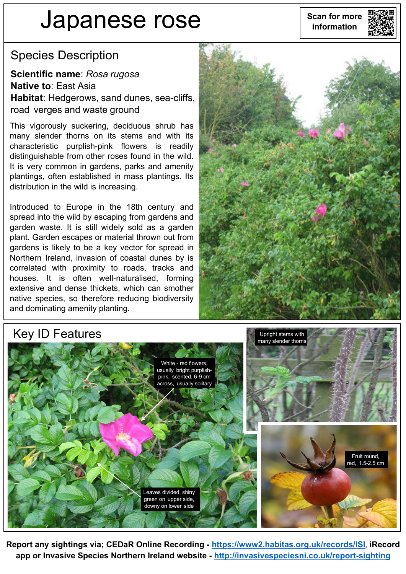# **Scan for more Japanese rose information**



#### Species Description

**Scientific name**: *Rosa rugosa* **Native to**: East Asia **Habitat**: Hedgerows, sand dunes, sea-cliffs, road verges and waste ground

This vigorously suckering, deciduous shrub has many slender thorns on its stems and with its characteristic purplish-pink flowers is readily distinguishable from other roses found in the wild. It is very common in gardens, parks and amenity plantings, often established in mass plantings. Its distribution in the wild is increasing.

Introduced to Europe in the 18th century and spread into the wild by escaping from gardens and garden waste. It is still widely sold as a garden plant. Garden escapes or material thrown out from gardens is likely to be a key vector for spread in Northern Ireland, invasion of coastal dunes by is correlated with proximity to roads, tracks and houses. It is often well-naturalised, forming extensive and dense thickets, which can smother native species, so therefore reducing biodiversity and dominating amenity planting.



## White - red flowers, usually bright purplishpink, scented, 6-9 cm across, usually solitary Leaves divided, shiny green on upper side, downy on lower side Fruit round, red, 1.5-2.5 cm Upright stems with many slender thorns

**Report any sightings via; CEDaR Online Recording - <https://www2.habitas.org.uk/records/ISI>**, **iRecord app or Invasive Species Northern Ireland website - <http://invasivespeciesni.co.uk/report-sighting>**

#### Key ID Features